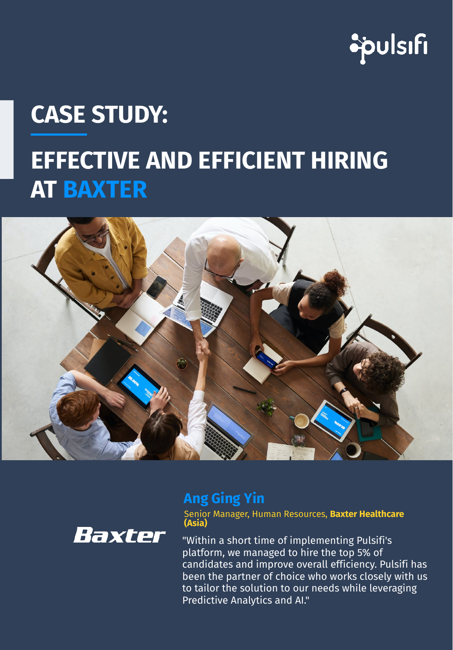

# **EFFECTIVE AND EFFICIENT HIRING AT BAXTER CASE STUDY:**





## **Ang Ging Yin**

Senior Manager, Human Resources, **Baxter Healthcare (Asia)**

"Within a short time of implementing Pulsifi's platform, we managed to hire the top 5% of candidates and improve overall efficiency. Pulsifi has been the partner of choice who works closely with us to tailor the solution to our needs while leveraging Predictive Analytics and AI."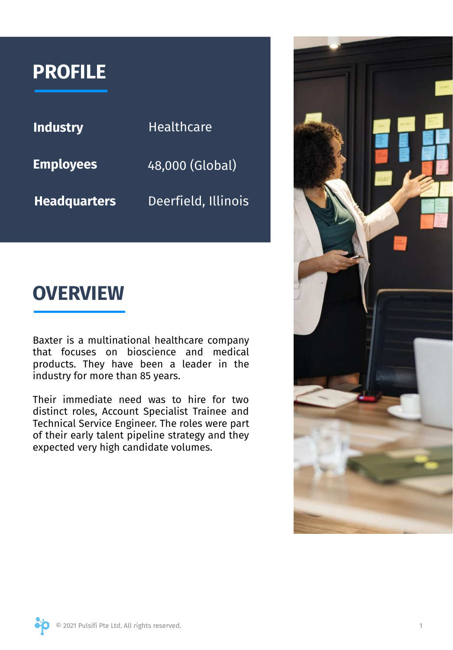## **PROFILE**

| <b>Industry</b>     | <b>Healthcare</b>   |
|---------------------|---------------------|
| <b>Employees</b>    | 48,000 (Global)     |
| <b>Headquarters</b> | Deerfield, Illinois |

## **OVERVIEW**

Baxter is a multinational healthcare company that focuses on bioscience and medical products. They have been a leader in the industry for more than 85 years.

Their immediate need was to hire for two distinct roles, Account Specialist Trainee and Technical Service Engineer. The roles were part of their early talent pipeline strategy and they expected very high candidate volumes.

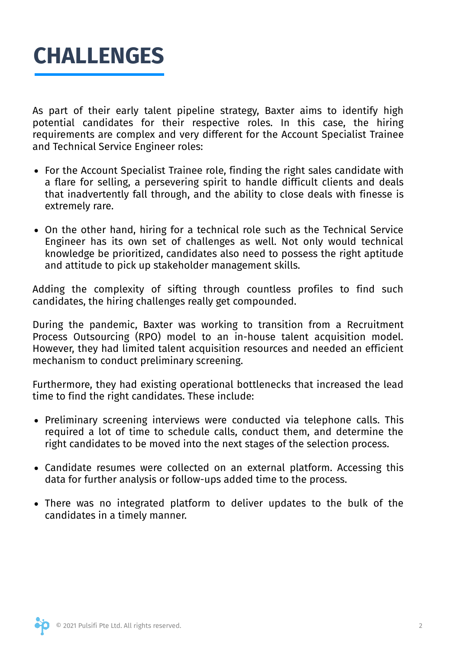

As part of their early talent pipeline strategy, Baxter aims to identify high potential candidates for their respective roles. In this case, the hiring requirements are complex and very different for the Account Specialist Trainee and Technical Service Engineer roles:

- For the Account Specialist Trainee role, finding the right sales candidate with a flare for selling, a persevering spirit to handle difficult clients and deals that inadvertently fall through, and the ability to close deals with finesse is extremely rare.
- On the other hand, hiring for a technical role such as the Technical Service Engineer has its own set of challenges as well. Not only would technical knowledge be prioritized, candidates also need to possess the right aptitude and attitude to pick up stakeholder management skills.

Adding the complexity of sifting through countless profiles to find such candidates, the hiring challenges really get compounded.

During the pandemic, Baxter was working to transition from a Recruitment Process Outsourcing (RPO) model to an in-house talent acquisition model. However, they had limited talent acquisition resources and needed an efficient mechanism to conduct preliminary screening.

Furthermore, they had existing operational bottlenecks that increased the lead time to find the right candidates. These include:

- Preliminary screening interviews were conducted via telephone calls. This required a lot of time to schedule calls, conduct them, and determine the right candidates to be moved into the next stages of the selection process.
- Candidate resumes were collected on an external platform. Accessing this data for further analysis or follow-ups added time to the process.
- There was no integrated platform to deliver updates to the bulk of the candidates in a timely manner.

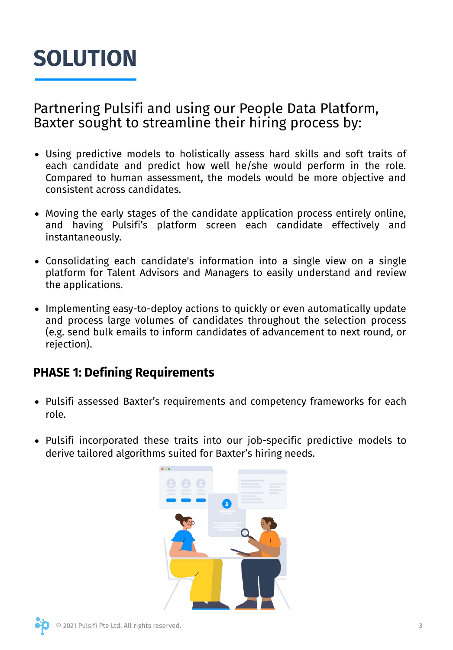## **SOLUTION**

Partnering Pulsifi and using our People Data Platform, Baxter sought to streamline their hiring process by:

- Using predictive models to holistically assess hard skills and soft traits of each candidate and predict how well he/she would perform in the role. Compared to human assessment, the models would be more objective and consistent across candidates.
- Moving the early stages of the candidate application process entirely online, and having Pulsifi's platform screen each candidate effectively and instantaneously.
- Consolidating each candidate's information into a single view on a single platform for Talent Advisors and Managers to easily understand and review the applications.
- Implementing easy-to-deploy actions to quickly or even automatically update and process large volumes of candidates throughout the selection process (e.g. send bulk emails to inform candidates of advancement to next round, or rejection).

### **PHASE 1: Defining Requirements**

- Pulsifi assessed Baxter's requirements and competency frameworks for each role.
- Pulsifi incorporated these traits into our job-specific predictive models to derive tailored algorithms suited for Baxter's hiring needs.

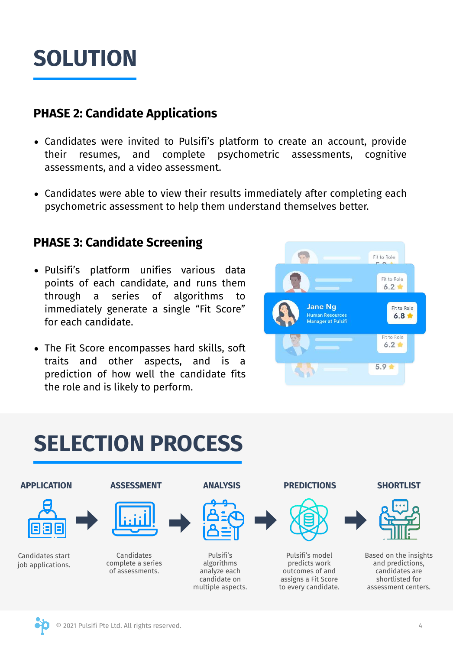## **SOLUTION**

### **PHASE 2: Candidate Applications**

- Candidates were invited to Pulsifi's platform to create an account, provide their resumes, and complete psychometric assessments, cognitive assessments, and a video assessment.
- Candidates were able to view their results immediately after completing each psychometric assessment to help them understand themselves better.

### **PHASE 3: Candidate Screening**

- Pulsifi's platform unifies various data points of each candidate, and runs them through a series of algorithms to immediately generate a single "Fit Score" for each candidate.
- The Fit Score encompasses hard skills, soft traits and other aspects, and is a prediction of how well the candidate fits the role and is likely to perform.



#### **SHORTLIST** Based on the insights and predictions, candidates are shortlisted for assessment centers. **PREDICTIONS** Pulsifi's model predicts work outcomes of and assigns a Fit Score to every candidate. **APPLICATION** Candidates start job applications. **ANALYSIS** Pulsifi's algorithms analyze each candidate on multiple aspects. **ASSESSMENT** Candidates complete a series of assessments. **SELECTION PROCESS**

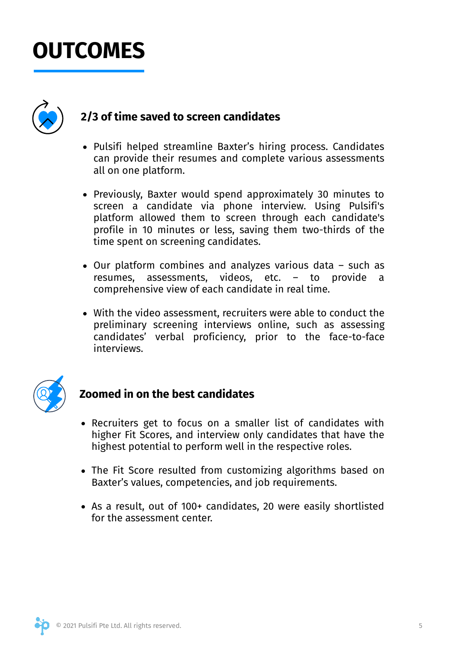# **OUTCOMES**



### **2/3 of time saved to screen candidates**

- Pulsifi helped streamline Baxter's hiring process. Candidates can provide their resumes and complete various assessments all on one platform.
- Previously, Baxter would spend approximately 30 minutes to screen a candidate via phone interview. Using Pulsifi's platform allowed them to screen through each candidate's profile in 10 minutes or less, saving them two-thirds of the time spent on screening candidates.
- Our platform combines and analyzes various data such as resumes, assessments, videos, etc. – to provide a comprehensive view of each candidate in real time.
- With the video assessment, recruiters were able to conduct the preliminary screening interviews online, such as assessing candidates' verbal proficiency, prior to the face-to-face interviews.



### **Zoomed in on the best candidates**

- Recruiters get to focus on a smaller list of candidates with higher Fit Scores, and interview only candidates that have the highest potential to perform well in the respective roles.
- The Fit Score resulted from customizing algorithms based on Baxter's values, competencies, and job requirements.
- As a result, out of 100+ candidates, 20 were easily shortlisted for the assessment center.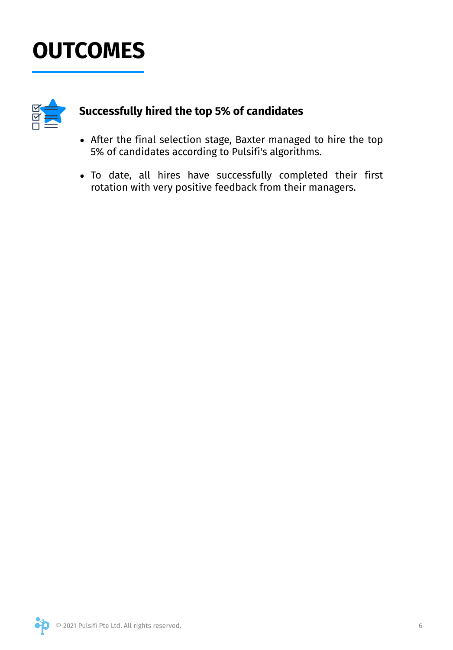# **OUTCOMES**



### **Successfully hired the top 5% of candidates**

- After the final selection stage, Baxter managed to hire the top 5% of candidates according to Pulsifi's algorithms.
- To date, all hires have successfully completed their first rotation with very positive feedback from their managers.